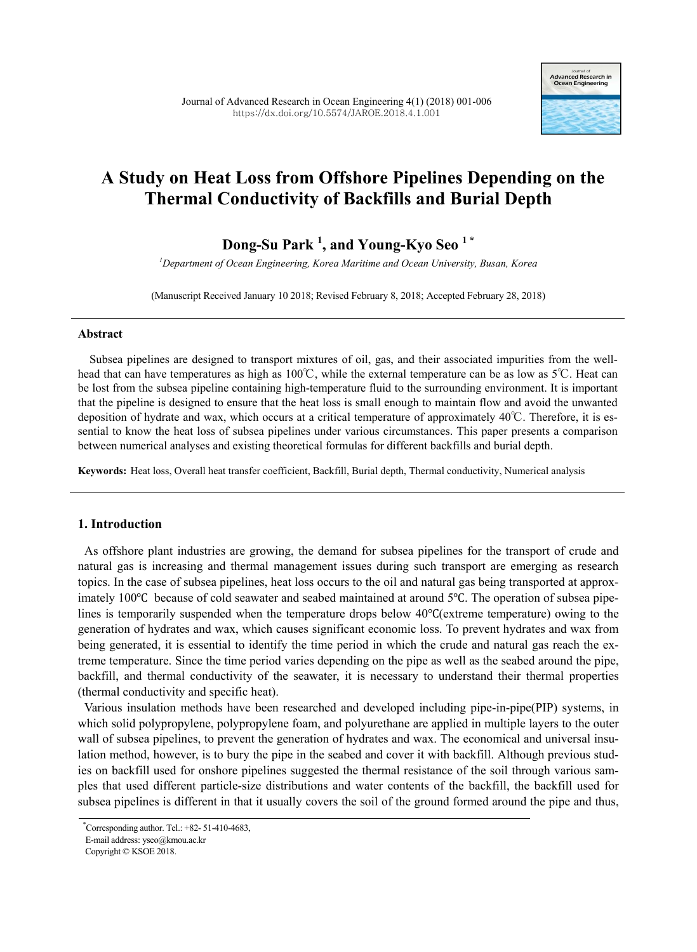

# **A Study on Heat Loss from Offshore Pipelines Depending on the Thermal Conductivity of Backfills and Burial Depth**

**Dong-Su Park 1 , and Young-Kyo Seo 1 \***

*<sup>1</sup>Department of Ocean Engineering, Korea Maritime and Ocean University, Busan, Korea*

(Manuscript Received January 10 2018; Revised February 8, 2018; Accepted February 28, 2018)

# **Abstract**

Subsea pipelines are designed to transport mixtures of oil, gas, and their associated impurities from the wellhead that can have temperatures as high as 100℃, while the external temperature can be as low as 5℃. Heat can be lost from the subsea pipeline containing high-temperature fluid to the surrounding environment. It is important that the pipeline is designed to ensure that the heat loss is small enough to maintain flow and avoid the unwanted deposition of hydrate and wax, which occurs at a critical temperature of approximately 40℃. Therefore, it is essential to know the heat loss of subsea pipelines under various circumstances. This paper presents a comparison between numerical analyses and existing theoretical formulas for different backfills and burial depth.

**Keywords:** Heat loss, Overall heat transfer coefficient, Backfill, Burial depth, Thermal conductivity, Numerical analysis

# **1. Introduction**

As offshore plant industries are growing, the demand for subsea pipelines for the transport of crude and natural gas is increasing and thermal management issues during such transport are emerging as research topics. In the case of subsea pipelines, heat loss occurs to the oil and natural gas being transported at approximately 100℃ because of cold seawater and seabed maintained at around 5℃. The operation of subsea pipelines is temporarily suspended when the temperature drops below 40℃(extreme temperature) owing to the generation of hydrates and wax, which causes significant economic loss. To prevent hydrates and wax from being generated, it is essential to identify the time period in which the crude and natural gas reach the extreme temperature. Since the time period varies depending on the pipe as well as the seabed around the pipe, backfill, and thermal conductivity of the seawater, it is necessary to understand their thermal properties (thermal conductivity and specific heat).

Various insulation methods have been researched and developed including pipe-in-pipe(PIP) systems, in which solid polypropylene, polypropylene foam, and polyurethane are applied in multiple layers to the outer wall of subsea pipelines, to prevent the generation of hydrates and wax. The economical and universal insulation method, however, is to bury the pipe in the seabed and cover it with backfill. Although previous studies on backfill used for onshore pipelines suggested the thermal resistance of the soil through various samples that used different particle-size distributions and water contents of the backfill, the backfill used for subsea pipelines is different in that it usually covers the soil of the ground formed around the pipe and thus,

<sup>\*</sup>Corresponding author. Tel.: +82- 51-410-4683,

E-mail address: yseo@kmou.ac.kr

Copyright © KSOE 2018.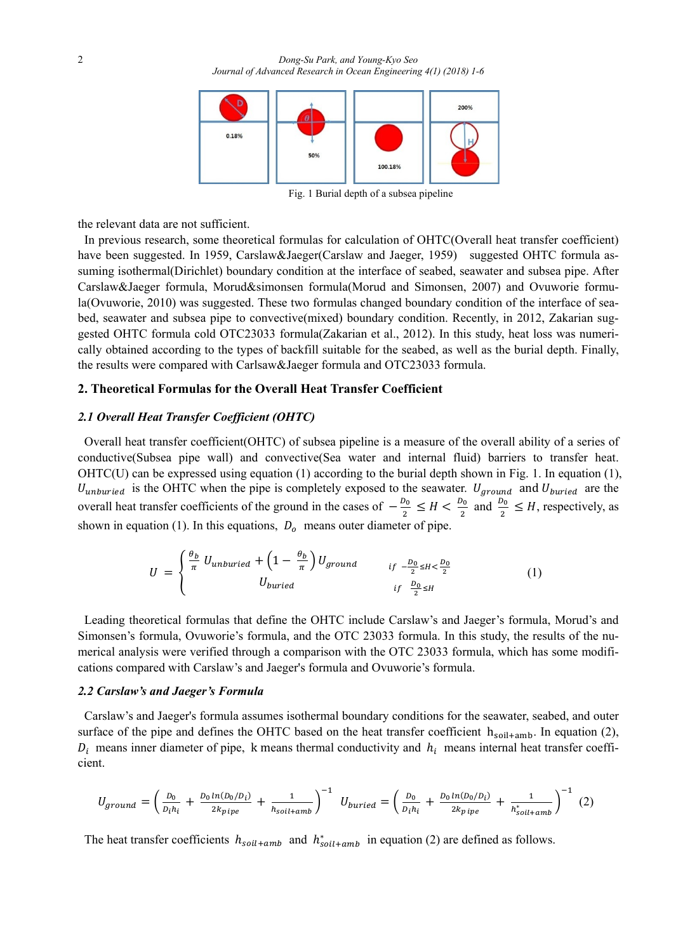

Fig. 1 Burial depth of a subsea pipeline

the relevant data are not sufficient.

In previous research, some theoretical formulas for calculation of OHTC(Overall heat transfer coefficient) have been suggested. In 1959, Carslaw&Jaeger(Carslaw and Jaeger, 1959) suggested OHTC formula assuming isothermal(Dirichlet) boundary condition at the interface of seabed, seawater and subsea pipe. After Carslaw&Jaeger formula, Morud&simonsen formula(Morud and Simonsen, 2007) and Ovuworie formula(Ovuworie, 2010) was suggested. These two formulas changed boundary condition of the interface of seabed, seawater and subsea pipe to convective(mixed) boundary condition. Recently, in 2012, Zakarian suggested OHTC formula cold OTC23033 formula(Zakarian et al., 2012). In this study, heat loss was numerically obtained according to the types of backfill suitable for the seabed, as well as the burial depth. Finally, the results were compared with Carlsaw&Jaeger formula and OTC23033 formula.

### **2. Theoretical Formulas for the Overall Heat Transfer Coefficient**

## *2.1 Overall Heat Transfer Coefficient (OHTC)*

Overall heat transfer coefficient(OHTC) of subsea pipeline is a measure of the overall ability of a series of conductive(Subsea pipe wall) and convective(Sea water and internal fluid) barriers to transfer heat. OHTC(U) can be expressed using equation (1) according to the burial depth shown in Fig. 1. In equation (1),  $U_{unburied}$  is the OHTC when the pipe is completely exposed to the seawater.  $U_{ground}$  and  $U_{buried}$  are the overall heat transfer coefficients of the ground in the cases of  $-\frac{b_0}{2}$  $\frac{D_0}{2} \leq H < \frac{D_0}{2}$  $\frac{b_0}{2}$  and  $\frac{b_0}{2}$  $\frac{\sigma_0}{2} \leq H$ , respectively, as shown in equation (1). In this equations,  $D<sub>o</sub>$  means outer diameter of pipe.

$$
U = \begin{cases} \frac{\theta_b}{\pi} U_{unburied} + \left(1 - \frac{\theta_b}{\pi}\right) U_{ground} & \text{if } -\frac{D_0}{2} \le H < \frac{D_0}{2} \\ U_{buried} & \text{if } \frac{D_0}{2} \le H \end{cases} \tag{1}
$$

Leading theoretical formulas that define the OHTC include Carslaw's and Jaeger's formula, Morud's and Simonsen's formula, Ovuworie's formula, and the OTC 23033 formula. In this study, the results of the numerical analysis were verified through a comparison with the OTC 23033 formula, which has some modifications compared with Carslaw's and Jaeger's formula and Ovuworie's formula.

## *2.2 Carslaw's and Jaeger's Formula*

Carslaw's and Jaeger's formula assumes isothermal boundary conditions for the seawater, seabed, and outer surface of the pipe and defines the OHTC based on the heat transfer coefficient  $h_{\text{solid+amb}}$ . In equation (2),  $D_i$  means inner diameter of pipe, k means thermal conductivity and  $h_i$  means internal heat transfer coefficient.

$$
U_{ground} = \left(\frac{D_0}{D_i h_i} + \frac{D_0 \ln(D_0/D_i)}{2 k_{pipe}} + \frac{1}{h_{solid+amb}}\right)^{-1} U_{buried} = \left(\frac{D_0}{D_i h_i} + \frac{D_0 \ln(D_0/D_i)}{2 k_{pipe}} + \frac{1}{h_{solid+amb}^*}\right)^{-1} (2)
$$

The heat transfer coefficients  $h_{\text{solid+amb}}$  and  $h_{\text{solid+amb}}^*$  in equation (2) are defined as follows.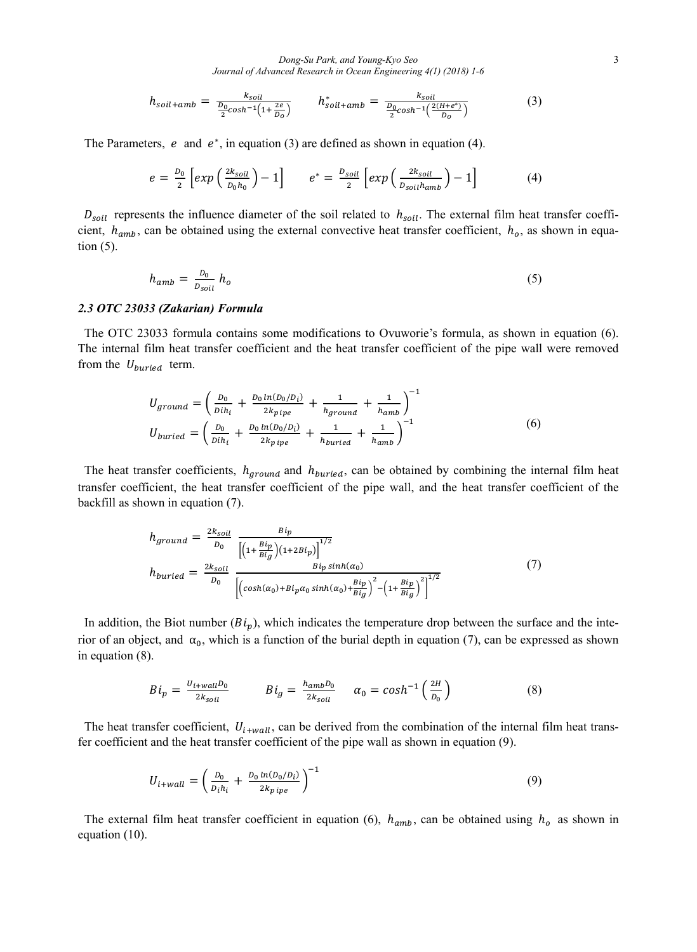*Dong-Su Park, and Young-Kyo Seo* 3 *Journal of Advanced Research in Ocean Engineering 4(1) (2018) 1-6*

$$
h_{soil+amb} = \frac{k_{soil}}{\frac{D_0}{2}cosh^{-1}\left(1 + \frac{2e}{D_0}\right)} \qquad h_{soil+amb}^* = \frac{k_{soil}}{\frac{D_0}{2}cosh^{-1}\left(\frac{2(H+e^*)}{D_0}\right)} \tag{3}
$$

The Parameters, e and  $e^*$ , in equation (3) are defined as shown in equation (4).

$$
e = \frac{D_0}{2} \left[ exp\left(\frac{2k_{soil}}{D_0 h_0}\right) - 1\right] \qquad e^* = \frac{D_{soil}}{2} \left[ exp\left(\frac{2k_{soil}}{D_{soil} h_{amb}}\right) - 1\right] \tag{4}
$$

 $D_{soil}$  represents the influence diameter of the soil related to  $h_{soil}$ . The external film heat transfer coefficient,  $h_{amb}$ , can be obtained using the external convective heat transfer coefficient,  $h_o$ , as shown in equation (5).

$$
h_{amb} = \frac{b_0}{D_{solid}} h_o \tag{5}
$$

#### *2.3 OTC 23033 (Zakarian) Formula*

The OTC 23033 formula contains some modifications to Ovuworie's formula, as shown in equation (6). The internal film heat transfer coefficient and the heat transfer coefficient of the pipe wall were removed from the  $U_{buried}$  term.

$$
U_{ground} = \left(\frac{D_0}{Dih_i} + \frac{D_0 \ln(D_0/D_i)}{2k_{pipe}} + \frac{1}{h_{ground}} + \frac{1}{h_{amb}}\right)^{-1}
$$
  
\n
$$
U_{buried} = \left(\frac{D_0}{Dih_i} + \frac{D_0 \ln(D_0/D_i)}{2k_{pipe}} + \frac{1}{h_{buried}} + \frac{1}{h_{amb}}\right)^{-1}
$$
 (6)

The heat transfer coefficients,  $h_{ground}$  and  $h_{buried}$ , can be obtained by combining the internal film heat transfer coefficient, the heat transfer coefficient of the pipe wall, and the heat transfer coefficient of the backfill as shown in equation (7).

$$
h_{ground} = \frac{2k_{soil}}{D_0} \frac{Bi_p}{\left[ \left( 1 + \frac{Bi_p}{Bi_g} \right) \left( 1 + 2Bi_p \right) \right]^{1/2}}
$$
\n
$$
h_{buried} = \frac{2k_{soil}}{D_0} \frac{Bi_p \sinh(\alpha_0)}{\left[ \left( \cosh(\alpha_0) + Bi_p \alpha_0 \sinh(\alpha_0) + \frac{Bi_p}{Bi_g} \right)^2 - \left( 1 + \frac{Bi_p}{Bi_g} \right)^2 \right]^{1/2}}
$$
\n
$$
(7)
$$

In addition, the Biot number  $(B_i)$ , which indicates the temperature drop between the surface and the interior of an object, and  $\alpha_0$ , which is a function of the burial depth in equation (7), can be expressed as shown in equation (8).

$$
Bi_p = \frac{U_{i+wall}D_0}{2k_{soil}} \qquad Bi_g = \frac{h_{amb}D_0}{2k_{soil}} \qquad \alpha_0 = \cosh^{-1}\left(\frac{2H}{D_0}\right) \tag{8}
$$

The heat transfer coefficient,  $U_{i+wall}$ , can be derived from the combination of the internal film heat transfer coefficient and the heat transfer coefficient of the pipe wall as shown in equation (9).

$$
U_{i+wall} = \left(\frac{D_0}{D_i h_i} + \frac{D_0 \ln(D_0/D_i)}{2k_{p\,ipe}}\right)^{-1} \tag{9}
$$

The external film heat transfer coefficient in equation (6),  $h_{amb}$ , can be obtained using  $h_o$  as shown in equation (10).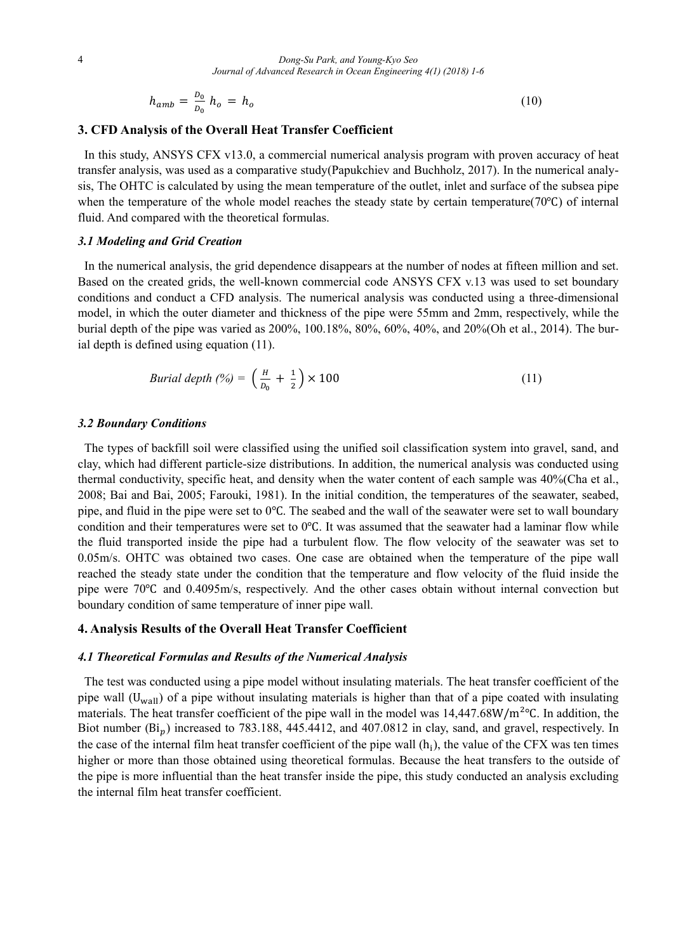$$
h_{amb} = \frac{b_0}{b_0} h_o = h_o \tag{10}
$$

#### **3. CFD Analysis of the Overall Heat Transfer Coefficient**

In this study, ANSYS CFX v13.0, a commercial numerical analysis program with proven accuracy of heat transfer analysis, was used as a comparative study(Papukchiev and Buchholz, 2017). In the numerical analysis, The OHTC is calculated by using the mean temperature of the outlet, inlet and surface of the subsea pipe when the temperature of the whole model reaches the steady state by certain temperature(70℃) of internal fluid. And compared with the theoretical formulas.

## *3.1 Modeling and Grid Creation*

In the numerical analysis, the grid dependence disappears at the number of nodes at fifteen million and set. Based on the created grids, the well-known commercial code ANSYS CFX v.13 was used to set boundary conditions and conduct a CFD analysis. The numerical analysis was conducted using a three-dimensional model, in which the outer diameter and thickness of the pipe were 55mm and 2mm, respectively, while the burial depth of the pipe was varied as 200%, 100.18%, 80%, 60%, 40%, and 20%(Oh et al., 2014). The burial depth is defined using equation (11).

$$
Bural depth (%) = \left(\frac{H}{D_0} + \frac{1}{2}\right) \times 100\tag{11}
$$

# *3.2 Boundary Conditions*

The types of backfill soil were classified using the unified soil classification system into gravel, sand, and clay, which had different particle-size distributions. In addition, the numerical analysis was conducted using thermal conductivity, specific heat, and density when the water content of each sample was 40%(Cha et al., 2008; Bai and Bai, 2005; Farouki, 1981). In the initial condition, the temperatures of the seawater, seabed, pipe, and fluid in the pipe were set to 0℃. The seabed and the wall of the seawater were set to wall boundary condition and their temperatures were set to 0℃. It was assumed that the seawater had a laminar flow while the fluid transported inside the pipe had a turbulent flow. The flow velocity of the seawater was set to 0.05m/s. OHTC was obtained two cases. One case are obtained when the temperature of the pipe wall reached the steady state under the condition that the temperature and flow velocity of the fluid inside the pipe were 70℃ and 0.4095m/s, respectively. And the other cases obtain without internal convection but boundary condition of same temperature of inner pipe wall.

#### **4. Analysis Results of the Overall Heat Transfer Coefficient**

### *4.1 Theoretical Formulas and Results of the Numerical Analysis*

The test was conducted using a pipe model without insulating materials. The heat transfer coefficient of the pipe wall (U<sub>wall</sub>) of a pipe without insulating materials is higher than that of a pipe coated with insulating materials. The heat transfer coefficient of the pipe wall in the model was 14,447.68W/m℃. In addition, the Biot number  $(Bi_n)$  increased to 783.188, 445.4412, and 407.0812 in clay, sand, and gravel, respectively. In the case of the internal film heat transfer coefficient of the pipe wall  $(h_i)$ , the value of the CFX was ten times higher or more than those obtained using theoretical formulas. Because the heat transfers to the outside of the pipe is more influential than the heat transfer inside the pipe, this study conducted an analysis excluding the internal film heat transfer coefficient.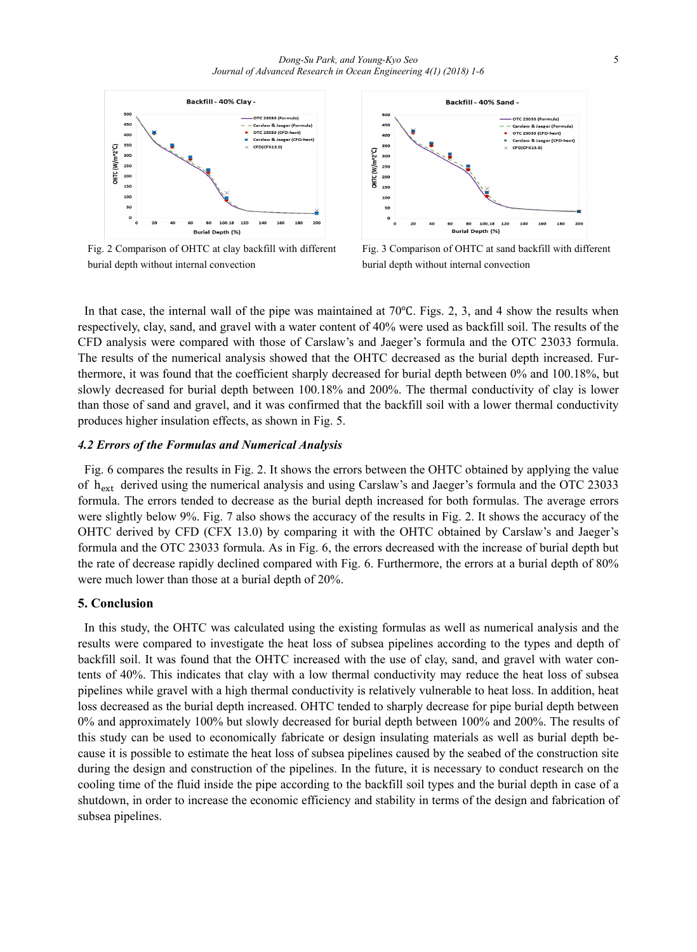

Fig. 2 Comparison of OHTC at clay backfill with different burial depth without internal convection



Fig. 3 Comparison of OHTC at sand backfill with different burial depth without internal convection

In that case, the internal wall of the pipe was maintained at 70℃. Figs. 2, 3, and 4 show the results when respectively, clay, sand, and gravel with a water content of 40% were used as backfill soil. The results of the CFD analysis were compared with those of Carslaw's and Jaeger's formula and the OTC 23033 formula. The results of the numerical analysis showed that the OHTC decreased as the burial depth increased. Furthermore, it was found that the coefficient sharply decreased for burial depth between 0% and 100.18%, but slowly decreased for burial depth between 100.18% and 200%. The thermal conductivity of clay is lower than those of sand and gravel, and it was confirmed that the backfill soil with a lower thermal conductivity produces higher insulation effects, as shown in Fig. 5.

# *4.2 Errors of the Formulas and Numerical Analysis*

Fig. 6 compares the results in Fig. 2. It shows the errors between the OHTC obtained by applying the value of h<sub>ext</sub> derived using the numerical analysis and using Carslaw's and Jaeger's formula and the OTC 23033 formula. The errors tended to decrease as the burial depth increased for both formulas. The average errors were slightly below 9%. Fig. 7 also shows the accuracy of the results in Fig. 2. It shows the accuracy of the OHTC derived by CFD (CFX 13.0) by comparing it with the OHTC obtained by Carslaw's and Jaeger's formula and the OTC 23033 formula. As in Fig. 6, the errors decreased with the increase of burial depth but the rate of decrease rapidly declined compared with Fig. 6. Furthermore, the errors at a burial depth of 80% were much lower than those at a burial depth of 20%.

# **5. Conclusion**

In this study, the OHTC was calculated using the existing formulas as well as numerical analysis and the results were compared to investigate the heat loss of subsea pipelines according to the types and depth of backfill soil. It was found that the OHTC increased with the use of clay, sand, and gravel with water contents of 40%. This indicates that clay with a low thermal conductivity may reduce the heat loss of subsea pipelines while gravel with a high thermal conductivity is relatively vulnerable to heat loss. In addition, heat loss decreased as the burial depth increased. OHTC tended to sharply decrease for pipe burial depth between 0% and approximately 100% but slowly decreased for burial depth between 100% and 200%. The results of this study can be used to economically fabricate or design insulating materials as well as burial depth because it is possible to estimate the heat loss of subsea pipelines caused by the seabed of the construction site during the design and construction of the pipelines. In the future, it is necessary to conduct research on the cooling time of the fluid inside the pipe according to the backfill soil types and the burial depth in case of a shutdown, in order to increase the economic efficiency and stability in terms of the design and fabrication of subsea pipelines.